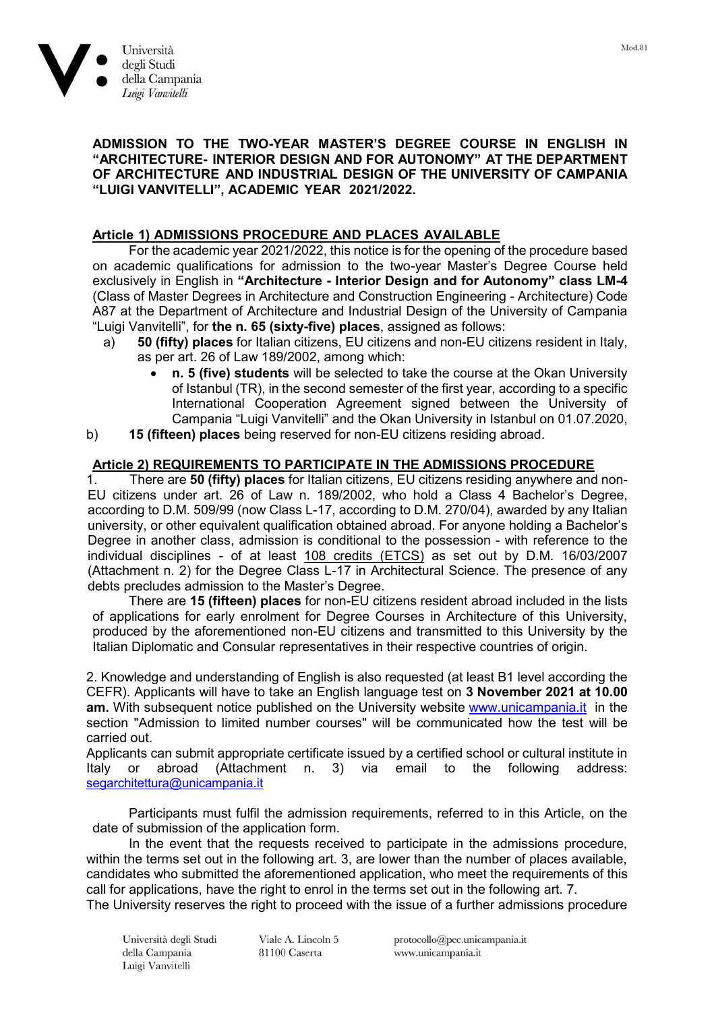

# **ADMISSION TO THE TWO-YEAR MASTER'S DEGREE COURSE IN ENGLISH IN "ARCHITECTURE- INTERIOR DESIGN AND FOR AUTONOMY" AT THE DEPARTMENT OF ARCHITECTURE AND INDUSTRIAL DESIGN OF THE UNIVERSITY OF CAMPANIA "LUIGI VANVITELLI", ACADEMIC YEAR 2021/2022.**

# **Article 1) ADMISSIONS PROCEDURE AND PLACES AVAILABLE**

For the academic year 2021/2022, this notice is for the opening of the procedure based on academic qualifications for admission to the two-year Master's Degree Course held exclusively in English in **"Architecture - Interior Design and for Autonomy" class LM-4** (Class of Master Degrees in Architecture and Construction Engineering - Architecture) Code A87 at the Department of Architecture and Industrial Design of the University of Campania "Luigi Vanvitelli", for **the n. 65 (sixty-five) places**, assigned as follows:

- a) **50 (fifty) places** for Italian citizens, EU citizens and non-EU citizens resident in Italy, as per art. 26 of Law 189/2002, among which:
	- **n. 5 (five) students** will be selected to take the course at the Okan University of Istanbul (TR), in the second semester of the first year, according to a specific International Cooperation Agreement signed between the University of Campania "Luigi Vanvitelli" and the Okan University in Istanbul on 01.07.2020,
- b) **15 (fifteen) places** being reserved for non-EU citizens residing abroad.

# **Article 2) REQUIREMENTS TO PARTICIPATE IN THE ADMISSIONS PROCEDURE**

1. There are **50 (fifty) places** for Italian citizens, EU citizens residing anywhere and non-EU citizens under art. 26 of Law n. 189/2002, who hold a Class 4 Bachelor's Degree, according to D.M. 509/99 (now Class L-17, according to D.M. 270/04), awarded by any Italian university, or other equivalent qualification obtained abroad. For anyone holding a Bachelor's Degree in another class, admission is conditional to the possession - with reference to the individual disciplines - of at least 108 credits (ETCS) as set out by D.M. 16/03/2007 (Attachment n. 2) for the Degree Class L-17 in Architectural Science. The presence of any debts precludes admission to the Master's Degree.

There are **15 (fifteen) places** for non-EU citizens resident abroad included in the lists of applications for early enrolment for Degree Courses in Architecture of this University, produced by the aforementioned non-EU citizens and transmitted to this University by the Italian Diplomatic and Consular representatives in their respective countries of origin.

2. Knowledge and understanding of English is also requested (at least B1 level according the CEFR). Applicants will have to take an English language test on **3 November 2021 at 10.00 am.** With subsequent notice published on the University website [www.unicampania.it](http://www.unicampania.it/) in the section "Admission to limited number courses" will be communicated how the test will be carried out.

Applicants can submit appropriate certificate issued by a certified school or cultural institute in Italy or abroad (Attachment n. 3) via email to the following address: [segarchitettura@unicampania.it](mailto:segarchitettura@unicampania.it)

Participants must fulfil the admission requirements, referred to in this Article, on the date of submission of the application form.

In the event that the requests received to participate in the admissions procedure, within the terms set out in the following art. 3, are lower than the number of places available, candidates who submitted the aforementioned application, who meet the requirements of this call for applications, have the right to enrol in the terms set out in the following art. 7.

The University reserves the right to proceed with the issue of a further admissions procedure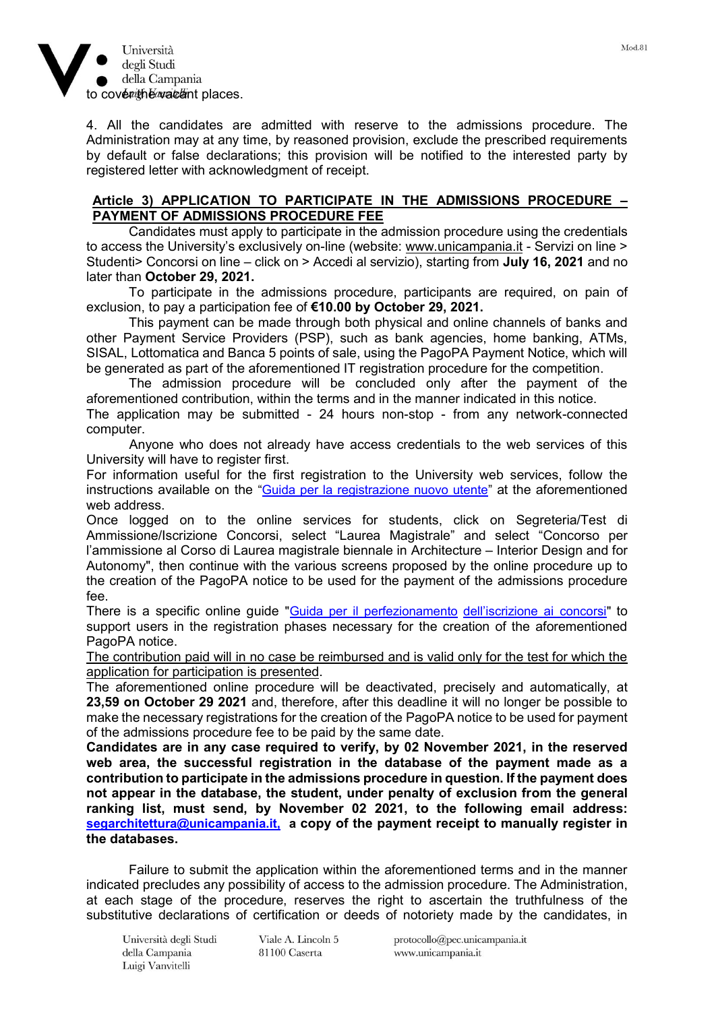

4. All the candidates are admitted with reserve to the admissions procedure. The Administration may at any time, by reasoned provision, exclude the prescribed requirements by default or false declarations; this provision will be notified to the interested party by registered letter with acknowledgment of receipt.

### **Article 3) APPLICATION TO PARTICIPATE IN THE ADMISSIONS PROCEDURE – PAYMENT OF ADMISSIONS PROCEDURE FEE**

Candidates must apply to participate in the admission procedure using the credentials to access the University's exclusively on-line (website: [www.unicampania.it](http://www.unicampania.it/) - Servizi on line > Studenti> Concorsi on line – click on > Accedi al servizio), starting from **July 16, 2021** and no later than **October 29, 2021.**

To participate in the admissions procedure, participants are required, on pain of exclusion, to pay a participation fee of **€10.00 by October 29, 2021.** 

This payment can be made through both physical and online channels of banks and other Payment Service Providers (PSP), such as bank agencies, home banking, ATMs, SISAL, Lottomatica and Banca 5 points of sale, using the PagoPA Payment Notice, which will be generated as part of the aforementioned IT registration procedure for the competition.

The admission procedure will be concluded only after the payment of the aforementioned contribution, within the terms and in the manner indicated in this notice. The application may be submitted - 24 hours non-stop - from any network-connected computer.

Anyone who does not already have access credentials to the web services of this University will have to register first.

For information useful for the first registration to the University web services, follow the instructions available on the "[Guida per la registrazione nuovo utente](https://www.unicampania.it/doc/servizionline/Guide/Guida_per_la_registrazione_Nuovo_Utente.pdf)" at the aforementioned web address.

Once logged on to the online services for students, click on Segreteria/Test di Ammissione/Iscrizione Concorsi, select "Laurea Magistrale" and select "Concorso per l'ammissione al Corso di Laurea magistrale biennale in Architecture – Interior Design and for Autonomy", then continue with the various screens proposed by the online procedure up to the creation of the PagoPA notice to be used for the payment of the admissions procedure fee.

There is a specific online guide "Guida per il [perfezionamento](http://www.unicampania.it/index.php/2011-03-28-06-44-19/concorsi-on-line) dell'[iscrizione](http://www.unicampania.it/index.php/2011-03-28-06-44-19/concorsi-on-line) ai concorsi" to support users in the registration phases necessary for the creation of the aforementioned PagoPA notice.

The contribution paid will in no case be reimbursed and is valid only for the test for which the application for participation is presented.

The aforementioned online procedure will be deactivated, precisely and automatically, at **23,59 on October 29 2021** and, therefore, after this deadline it will no longer be possible to make the necessary registrations for the creation of the PagoPA notice to be used for payment of the admissions procedure fee to be paid by the same date.

**Candidates are in any case required to verify, by 02 November 2021, in the reserved web area, the successful registration in the database of the payment made as a contribution to participate in the admissions procedure in question. If the payment does not appear in the database, the student, under penalty of exclusion from the general ranking list, must send, by November 02 2021, to the following email address: [segarchitettura@unicampania.it,](mailto:segarchitettura@unicampania.it,a) a copy of the payment receipt to manually register in the databases.**

Failure to submit the application within the aforementioned terms and in the manner indicated precludes any possibility of access to the admission procedure. The Administration, at each stage of the procedure, reserves the right to ascertain the truthfulness of the substitutive declarations of certification or deeds of notoriety made by the candidates, in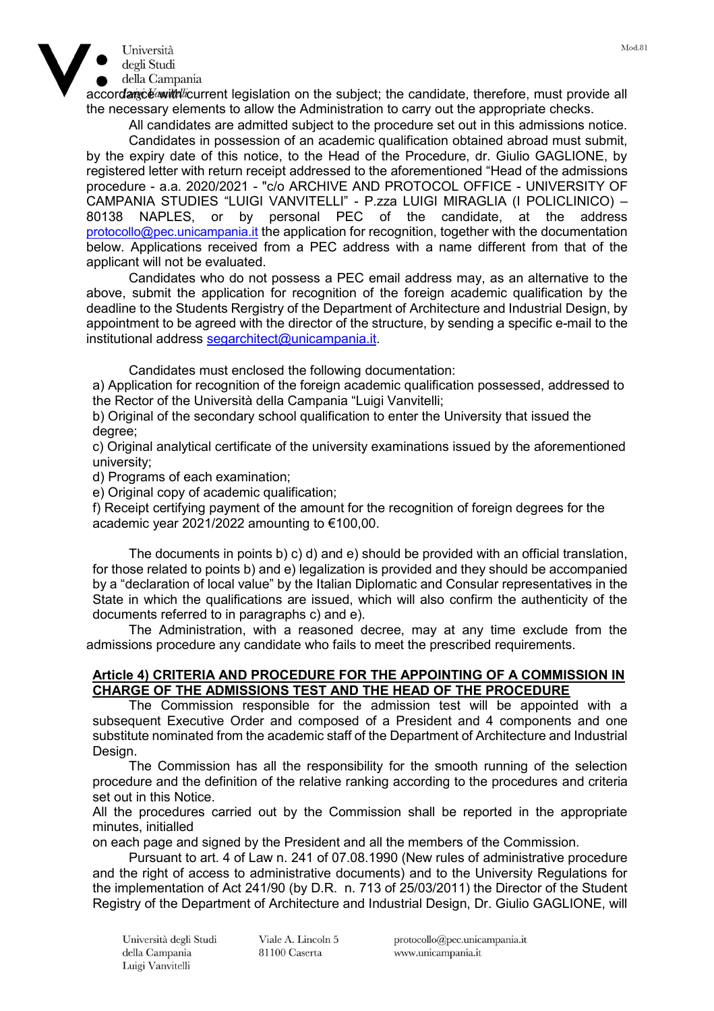



accordance with current legislation on the subject; the candidate, therefore, must provide all the necessary elements to allow the Administration to carry out the appropriate checks.

All candidates are admitted subject to the procedure set out in this admissions notice.

Candidates in possession of an academic qualification obtained abroad must submit, by the expiry date of this notice, to the Head of the Procedure, dr. Giulio GAGLIONE, by registered letter with return receipt addressed to the aforementioned "Head of the admissions procedure - a.a. 2020/2021 - "c/o ARCHIVE AND PROTOCOL OFFICE - UNIVERSITY OF CAMPANIA STUDIES "LUIGI VANVITELLI" - P.zza LUIGI MIRAGLIA (I POLICLINICO) – 80138 NAPLES, or by personal PEC of the candidate, at the address [protocollo@pec.unicampania.it](mailto:protocollo@pec.unicampania.it) the application for recognition, together with the documentation below. Applications received from a PEC address with a name different from that of the applicant will not be evaluated.

Candidates who do not possess a PEC email address may, as an alternative to the above, submit the application for recognition of the foreign academic qualification by the deadline to the Students Rergistry of the Department of Architecture and Industrial Design, by appointment to be agreed with the director of the structure, by sending a specific e-mail to the institutional address [segarchitect@unicampania.it.](mailto:segarchitect@unicampania.it)

Candidates must enclosed the following documentation:

a) Application for recognition of the foreign academic qualification possessed, addressed to the Rector of the Università della Campania "Luigi Vanvitelli;

b) Original of the secondary school qualification to enter the University that issued the degree;

c) Original analytical certificate of the university examinations issued by the aforementioned university;

d) Programs of each examination;

e) Original copy of academic qualification;

f) Receipt certifying payment of the amount for the recognition of foreign degrees for the academic year 2021/2022 amounting to €100,00.

The documents in points b) c) d) and e) should be provided with an official translation, for those related to points b) and e) legalization is provided and they should be accompanied by a "declaration of local value" by the Italian Diplomatic and Consular representatives in the State in which the qualifications are issued, which will also confirm the authenticity of the documents referred to in paragraphs c) and e).

The Administration, with a reasoned decree, may at any time exclude from the admissions procedure any candidate who fails to meet the prescribed requirements.

## **Article 4) CRITERIA AND PROCEDURE FOR THE APPOINTING OF A COMMISSION IN CHARGE OF THE ADMISSIONS TEST AND THE HEAD OF THE PROCEDURE**

The Commission responsible for the admission test will be appointed with a subsequent Executive Order and composed of a President and 4 components and one substitute nominated from the academic staff of the Department of Architecture and Industrial Design.

The Commission has all the responsibility for the smooth running of the selection procedure and the definition of the relative ranking according to the procedures and criteria set out in this Notice.

All the procedures carried out by the Commission shall be reported in the appropriate minutes, initialled

on each page and signed by the President and all the members of the Commission.

Pursuant to art. 4 of Law n. 241 of 07.08.1990 (New rules of administrative procedure and the right of access to administrative documents) and to the University Regulations for the implementation of Act 241/90 (by D.R. n. 713 of 25/03/2011) the Director of the Student Registry of the Department of Architecture and Industrial Design, Dr. Giulio GAGLIONE, will

Viale A. Lincoln 5 81100 Caserta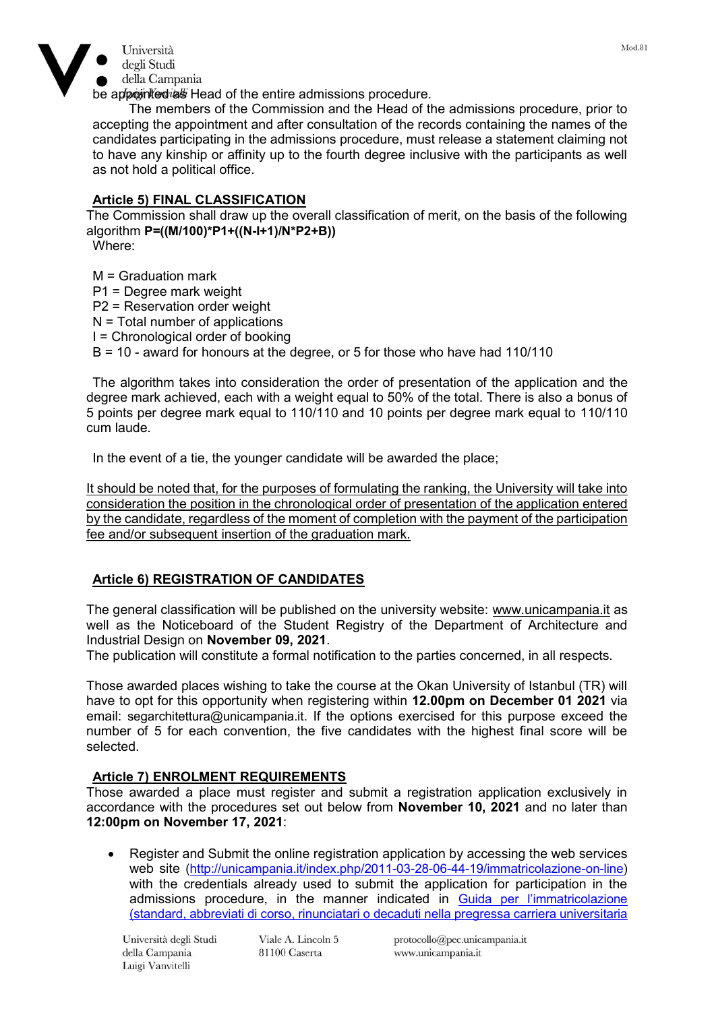

be appointed as Head of the entire admissions procedure.

The members of the Commission and the Head of the admissions procedure, prior to accepting the appointment and after consultation of the records containing the names of the candidates participating in the admissions procedure, must release a statement claiming not to have any kinship or affinity up to the fourth degree inclusive with the participants as well as not hold a political office.

# **Article 5) FINAL CLASSIFICATION**

The Commission shall draw up the overall classification of merit, on the basis of the following algorithm **P=((M/100)\*P1+((N-I+1)/N\*P2+B))**

Where:

 $M =$  Graduation mark P1 = Degree mark weight P2 = Reservation order weight  $N =$  Total number of applications I = Chronological order of booking B = 10 - award for honours at the degree, or 5 for those who have had 110/110

The algorithm takes into consideration the order of presentation of the application and the degree mark achieved, each with a weight equal to 50% of the total. There is also a bonus of 5 points per degree mark equal to 110/110 and 10 points per degree mark equal to 110/110 cum laude.

In the event of a tie, the younger candidate will be awarded the place;

It should be noted that, for the purposes of formulating the ranking, the University will take into consideration the position in the chronological order of presentation of the application entered by the candidate, regardless of the moment of completion with the payment of the participation fee and/or subsequent insertion of the graduation mark.

# **Article 6) REGISTRATION OF CANDIDATES**

The general classification will be published on the university website: [www.unicampania.it](http://www.unicampania.it/) as well as the Noticeboard of the Student Registry of the Department of Architecture and Industrial Design on **November 09, 2021**.

The publication will constitute a formal notification to the parties concerned, in all respects.

Those awarded places wishing to take the course at the Okan University of Istanbul (TR) will have to opt for this opportunity when registering within **12.00pm on December 01 2021** via email: [segarchitettura@unicampania.it.](mailto:segarchitettura@unicampania.it) If the options exercised for this purpose exceed the number of 5 for each convention, the five candidates with the highest final score will be selected.

# **Article 7) ENROLMENT REQUIREMENTS**

Those awarded a place must register and submit a registration application exclusively in accordance with the procedures set out below from **November 10, 2021** and no later than **12:00pm on November 17, 2021**:

 Register and Submit the online registration application by accessing the web services web site [\(http://unicampania.it/index.php/2011-03-28-06-44-19/immatricolazione-on-line\)](http://unicampania.it/index.php/2011-03-28-06-44-19/immatricolazione-on-line) with the credentials already used to submit the application for participation in the admissions procedure, in the manner indicated in [Guida per l'immatricolazione](http://www.unicampania.it/index.php/2011-03-28-06-44-19/concorsi-on-line)  [\(standard, abbreviati di corso, rinunciatari o decaduti nella pregressa carriera universitaria](http://www.unicampania.it/index.php/2011-03-28-06-44-19/concorsi-on-line) 

Università degli Studi della Campania Luigi Vanvitelli

Viale A. Lincoln 5 81100 Caserta

protocollo@pec.unicampania.it www.unicampania.it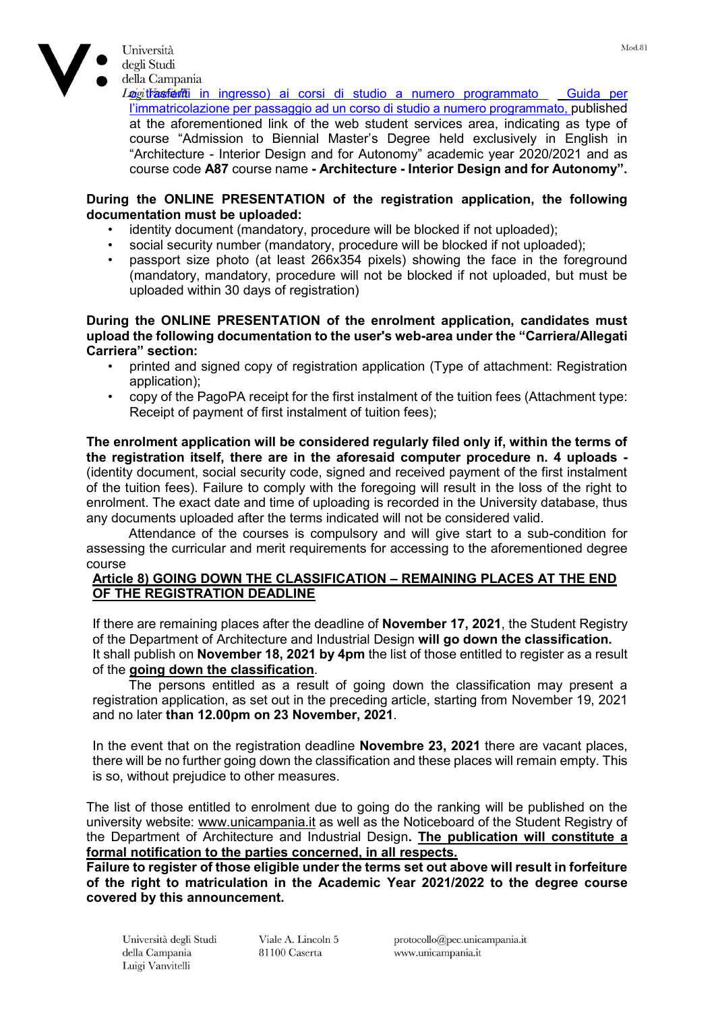

della Campania Logitrasferiti in ingresso) ai corsi di studio a numero programmato Guida per [l'immatricolazione per passaggio ad un corso di studio a numero programmato](https://www.unina2.it/doc/RipartizioniFS/RS/Varie/Domanda_online_di_Passaggio_di_Corso_-_Corsi_a_numero_programmato.pdf), published at the aforementioned link of the web student services area, indicating as type of course "Admission to Biennial Master's Degree held exclusively in English in "Architecture - Interior Design and for Autonomy" academic year 2020/2021 and as course code **A87** course name **- Architecture - Interior Design and for Autonomy".**

### **During the ONLINE PRESENTATION of the registration application, the following documentation must be uploaded:**

- identity document (mandatory, procedure will be blocked if not uploaded);
- social security number (mandatory, procedure will be blocked if not uploaded);
- passport size photo (at least 266x354 pixels) showing the face in the foreground (mandatory, mandatory, procedure will not be blocked if not uploaded, but must be uploaded within 30 days of registration)

#### **During the ONLINE PRESENTATION of the enrolment application, candidates must upload the following documentation to the user's web-area under the "Carriera/Allegati Carriera" section:**

- printed and signed copy of registration application (Type of attachment: Registration application);
- copy of the PagoPA receipt for the first instalment of the tuition fees (Attachment type: Receipt of payment of first instalment of tuition fees);

**The enrolment application will be considered regularly filed only if, within the terms of the registration itself, there are in the aforesaid computer procedure n. 4 uploads -** (identity document, social security code, signed and received payment of the first instalment of the tuition fees). Failure to comply with the foregoing will result in the loss of the right to enrolment. The exact date and time of uploading is recorded in the University database, thus any documents uploaded after the terms indicated will not be considered valid.

Attendance of the courses is compulsory and will give start to a sub-condition for assessing the curricular and merit requirements for accessing to the aforementioned degree course

## **Article 8) GOING DOWN THE CLASSIFICATION – REMAINING PLACES AT THE END OF THE REGISTRATION DEADLINE**

If there are remaining places after the deadline of **November 17, 2021**, the Student Registry of the Department of Architecture and Industrial Design **will go down the classification.** It shall publish on **November 18, 2021 by 4pm** the list of those entitled to register as a result of the **going down the classification**.

The persons entitled as a result of going down the classification may present a registration application, as set out in the preceding article, starting from November 19, 2021 and no later **than 12.00pm on 23 November, 2021**.

In the event that on the registration deadline **Novembre 23, 2021** there are vacant places, there will be no further going down the classification and these places will remain empty. This is so, without prejudice to other measures.

The list of those entitled to enrolment due to going do the ranking will be published on the university website: [www.unicampania.it](http://www.unicampania.it/) as well as the Noticeboard of the Student Registry of the Department of Architecture and Industrial Design**. The publication will constitute a formal notification to the parties concerned, in all respects.**

**Failure to register of those eligible under the terms set out above will result in forfeiture of the right to matriculation in the Academic Year 2021/2022 to the degree course covered by this announcement.** 

Viale A. Lincoln 5 81100 Caserta